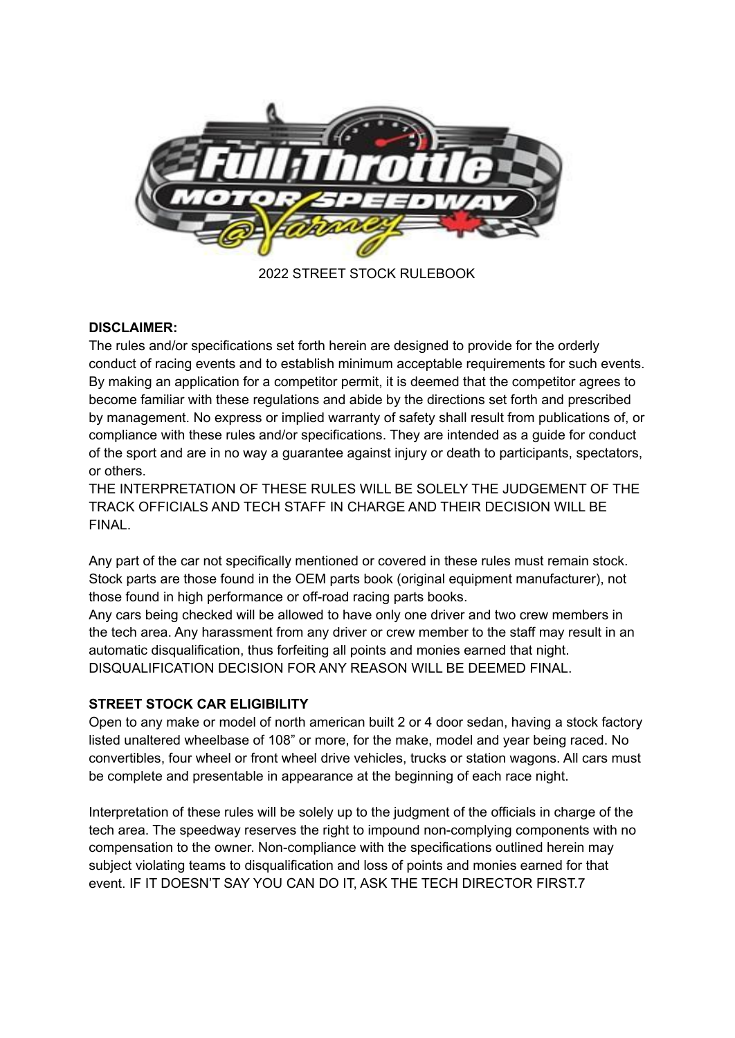

2022 STREET STOCK RULEBOOK

### **DISCLAIMER:**

The rules and/or specifications set forth herein are designed to provide for the orderly conduct of racing events and to establish minimum acceptable requirements for such events. By making an application for a competitor permit, it is deemed that the competitor agrees to become familiar with these regulations and abide by the directions set forth and prescribed by management. No express or implied warranty of safety shall result from publications of, or compliance with these rules and/or specifications. They are intended as a guide for conduct of the sport and are in no way a guarantee against injury or death to participants, spectators, or others.

THE INTERPRETATION OF THESE RULES WILL BE SOLELY THE JUDGEMENT OF THE TRACK OFFICIALS AND TECH STAFF IN CHARGE AND THEIR DECISION WILL BE FINAL.

Any part of the car not specifically mentioned or covered in these rules must remain stock. Stock parts are those found in the OEM parts book (original equipment manufacturer), not those found in high performance or off-road racing parts books.

Any cars being checked will be allowed to have only one driver and two crew members in the tech area. Any harassment from any driver or crew member to the staff may result in an automatic disqualification, thus forfeiting all points and monies earned that night. DISQUALIFICATION DECISION FOR ANY REASON WILL BE DEEMED FINAL.

# **STREET STOCK CAR ELIGIBILITY**

Open to any make or model of north american built 2 or 4 door sedan, having a stock factory listed unaltered wheelbase of 108" or more, for the make, model and year being raced. No convertibles, four wheel or front wheel drive vehicles, trucks or station wagons. All cars must be complete and presentable in appearance at the beginning of each race night.

Interpretation of these rules will be solely up to the judgment of the officials in charge of the tech area. The speedway reserves the right to impound non-complying components with no compensation to the owner. Non-compliance with the specifications outlined herein may subject violating teams to disqualification and loss of points and monies earned for that event. IF IT DOESN'T SAY YOU CAN DO IT, ASK THE TECH DIRECTOR FIRST.7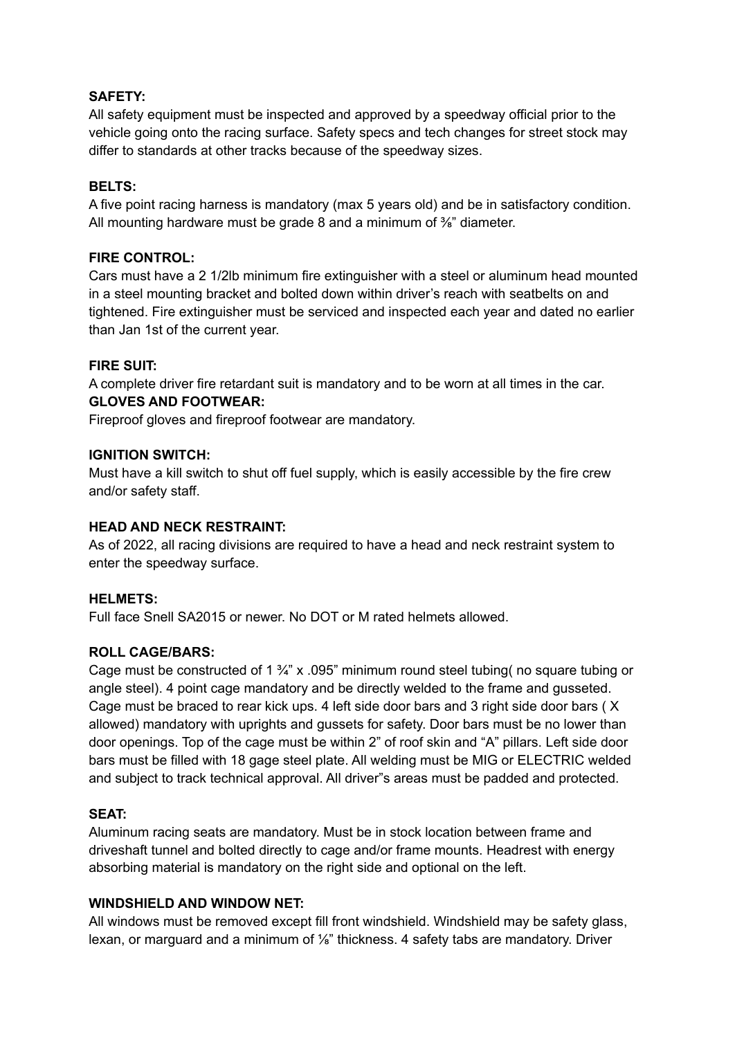### **SAFETY:**

All safety equipment must be inspected and approved by a speedway official prior to the vehicle going onto the racing surface. Safety specs and tech changes for street stock may differ to standards at other tracks because of the speedway sizes.

### **BELTS:**

A five point racing harness is mandatory (max 5 years old) and be in satisfactory condition. All mounting hardware must be grade 8 and a minimum of <sup>3</sup>/<sub>8</sub>" diameter.

### **FIRE CONTROL:**

Cars must have a 2 1/2lb minimum fire extinguisher with a steel or aluminum head mounted in a steel mounting bracket and bolted down within driver's reach with seatbelts on and tightened. Fire extinguisher must be serviced and inspected each year and dated no earlier than Jan 1st of the current year.

### **FIRE SUIT:**

A complete driver fire retardant suit is mandatory and to be worn at all times in the car. **GLOVES AND FOOTWEAR:**

Fireproof gloves and fireproof footwear are mandatory.

### **IGNITION SWITCH:**

Must have a kill switch to shut off fuel supply, which is easily accessible by the fire crew and/or safety staff.

### **HEAD AND NECK RESTRAINT:**

As of 2022, all racing divisions are required to have a head and neck restraint system to enter the speedway surface.

### **HELMETS:**

Full face Snell SA2015 or newer. No DOT or M rated helmets allowed.

### **ROLL CAGE/BARS:**

Cage must be constructed of 1  $\frac{3}{4}$ " x .095" minimum round steel tubing (no square tubing or angle steel). 4 point cage mandatory and be directly welded to the frame and gusseted. Cage must be braced to rear kick ups. 4 left side door bars and 3 right side door bars ( X allowed) mandatory with uprights and gussets for safety. Door bars must be no lower than door openings. Top of the cage must be within 2" of roof skin and "A" pillars. Left side door bars must be filled with 18 gage steel plate. All welding must be MIG or ELECTRIC welded and subject to track technical approval. All driver"s areas must be padded and protected.

### **SEAT:**

Aluminum racing seats are mandatory. Must be in stock location between frame and driveshaft tunnel and bolted directly to cage and/or frame mounts. Headrest with energy absorbing material is mandatory on the right side and optional on the left.

### **WINDSHIELD AND WINDOW NET:**

All windows must be removed except fill front windshield. Windshield may be safety glass, lexan, or marguard and a minimum of ⅛" thickness. 4 safety tabs are mandatory. Driver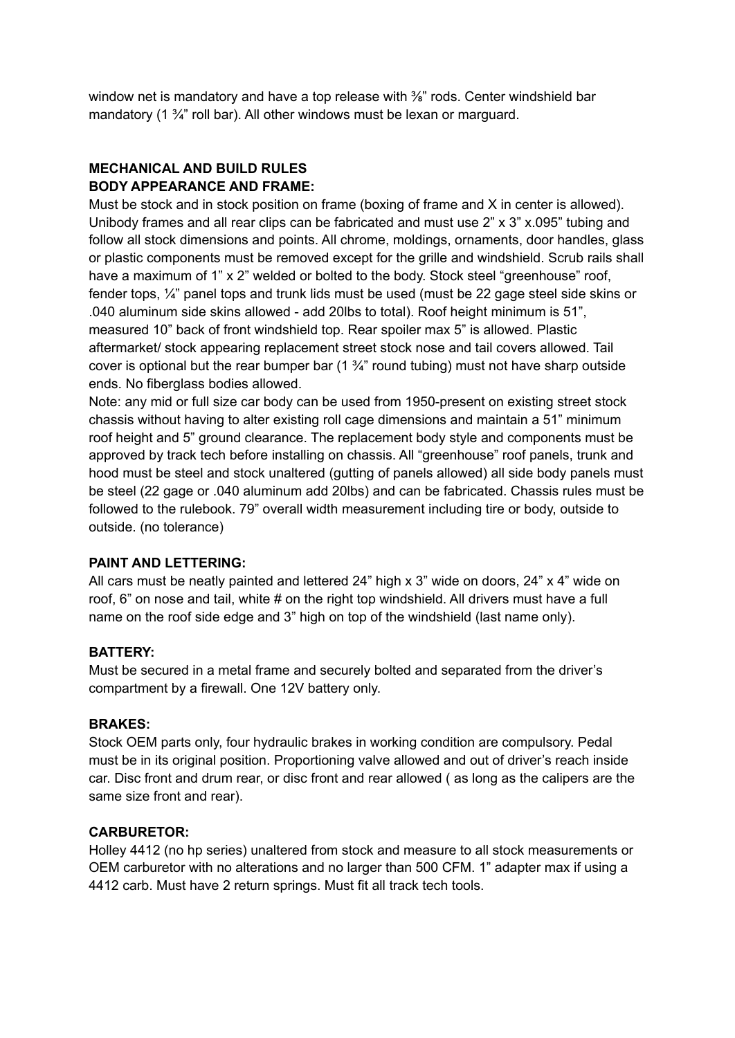window net is mandatory and have a top release with <sup>3</sup>/<sub>6</sub>" rods. Center windshield bar mandatory (1 <sup>3</sup>/<sub>4</sub>" roll bar). All other windows must be lexan or marguard.

# **MECHANICAL AND BUILD RULES BODY APPEARANCE AND FRAME:**

Must be stock and in stock position on frame (boxing of frame and X in center is allowed). Unibody frames and all rear clips can be fabricated and must use 2" x 3" x.095" tubing and follow all stock dimensions and points. All chrome, moldings, ornaments, door handles, glass or plastic components must be removed except for the grille and windshield. Scrub rails shall have a maximum of 1" x 2" welded or bolted to the body. Stock steel "greenhouse" roof, fender tops, ¼" panel tops and trunk lids must be used (must be 22 gage steel side skins or .040 aluminum side skins allowed - add 20lbs to total). Roof height minimum is 51", measured 10" back of front windshield top. Rear spoiler max 5" is allowed. Plastic aftermarket/ stock appearing replacement street stock nose and tail covers allowed. Tail cover is optional but the rear bumper bar  $(1 \frac{3}{4} \pi)$  round tubing) must not have sharp outside ends. No fiberglass bodies allowed.

Note: any mid or full size car body can be used from 1950-present on existing street stock chassis without having to alter existing roll cage dimensions and maintain a 51" minimum roof height and 5" ground clearance. The replacement body style and components must be approved by track tech before installing on chassis. All "greenhouse" roof panels, trunk and hood must be steel and stock unaltered (gutting of panels allowed) all side body panels must be steel (22 gage or .040 aluminum add 20lbs) and can be fabricated. Chassis rules must be followed to the rulebook. 79" overall width measurement including tire or body, outside to outside. (no tolerance)

# **PAINT AND LETTERING:**

All cars must be neatly painted and lettered 24" high x 3" wide on doors, 24" x 4" wide on roof, 6" on nose and tail, white # on the right top windshield. All drivers must have a full name on the roof side edge and 3" high on top of the windshield (last name only).

### **BATTERY:**

Must be secured in a metal frame and securely bolted and separated from the driver's compartment by a firewall. One 12V battery only.

### **BRAKES:**

Stock OEM parts only, four hydraulic brakes in working condition are compulsory. Pedal must be in its original position. Proportioning valve allowed and out of driver's reach inside car. Disc front and drum rear, or disc front and rear allowed ( as long as the calipers are the same size front and rear).

### **CARBURETOR:**

Holley 4412 (no hp series) unaltered from stock and measure to all stock measurements or OEM carburetor with no alterations and no larger than 500 CFM. 1" adapter max if using a 4412 carb. Must have 2 return springs. Must fit all track tech tools.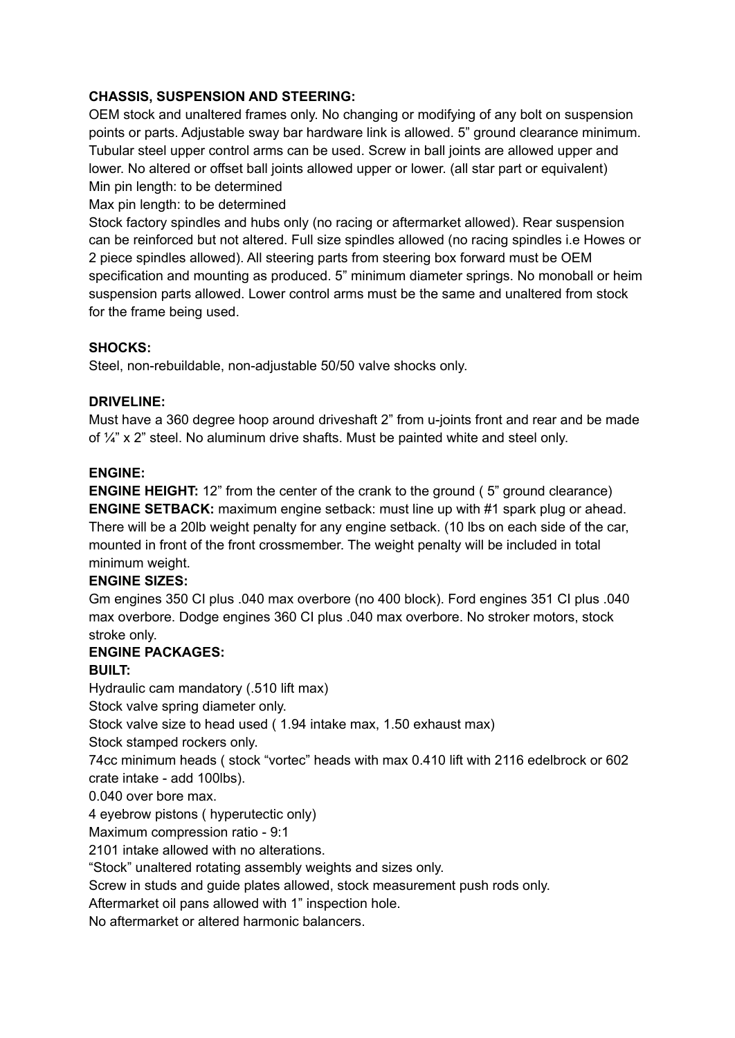# **CHASSIS, SUSPENSION AND STEERING:**

OEM stock and unaltered frames only. No changing or modifying of any bolt on suspension points or parts. Adjustable sway bar hardware link is allowed. 5" ground clearance minimum. Tubular steel upper control arms can be used. Screw in ball joints are allowed upper and lower. No altered or offset ball joints allowed upper or lower. (all star part or equivalent) Min pin length: to be determined

Max pin length: to be determined

Stock factory spindles and hubs only (no racing or aftermarket allowed). Rear suspension can be reinforced but not altered. Full size spindles allowed (no racing spindles i.e Howes or 2 piece spindles allowed). All steering parts from steering box forward must be OEM specification and mounting as produced. 5" minimum diameter springs. No monoball or heim suspension parts allowed. Lower control arms must be the same and unaltered from stock for the frame being used.

# **SHOCKS:**

Steel, non-rebuildable, non-adjustable 50/50 valve shocks only.

# **DRIVELINE:**

Must have a 360 degree hoop around driveshaft 2" from u-joints front and rear and be made of ¼" x 2" steel. No aluminum drive shafts. Must be painted white and steel only.

# **ENGINE:**

**ENGINE HEIGHT:** 12" from the center of the crank to the ground (5" ground clearance) **ENGINE SETBACK:** maximum engine setback: must line up with #1 spark plug or ahead. There will be a 20lb weight penalty for any engine setback. (10 lbs on each side of the car, mounted in front of the front crossmember. The weight penalty will be included in total minimum weight.

# **ENGINE SIZES:**

Gm engines 350 CI plus .040 max overbore (no 400 block). Ford engines 351 CI plus .040 max overbore. Dodge engines 360 CI plus .040 max overbore. No stroker motors, stock stroke only.

# **ENGINE PACKAGES:**

# **BUILT:**

Hydraulic cam mandatory (.510 lift max)

Stock valve spring diameter only.

Stock valve size to head used ( 1.94 intake max, 1.50 exhaust max)

Stock stamped rockers only.

74cc minimum heads ( stock "vortec" heads with max 0.410 lift with 2116 edelbrock or 602 crate intake - add 100lbs).

0.040 over bore max.

4 eyebrow pistons ( hyperutectic only)

Maximum compression ratio - 9:1

2101 intake allowed with no alterations.

"Stock" unaltered rotating assembly weights and sizes only.

Screw in studs and guide plates allowed, stock measurement push rods only.

Aftermarket oil pans allowed with 1" inspection hole.

No aftermarket or altered harmonic balancers.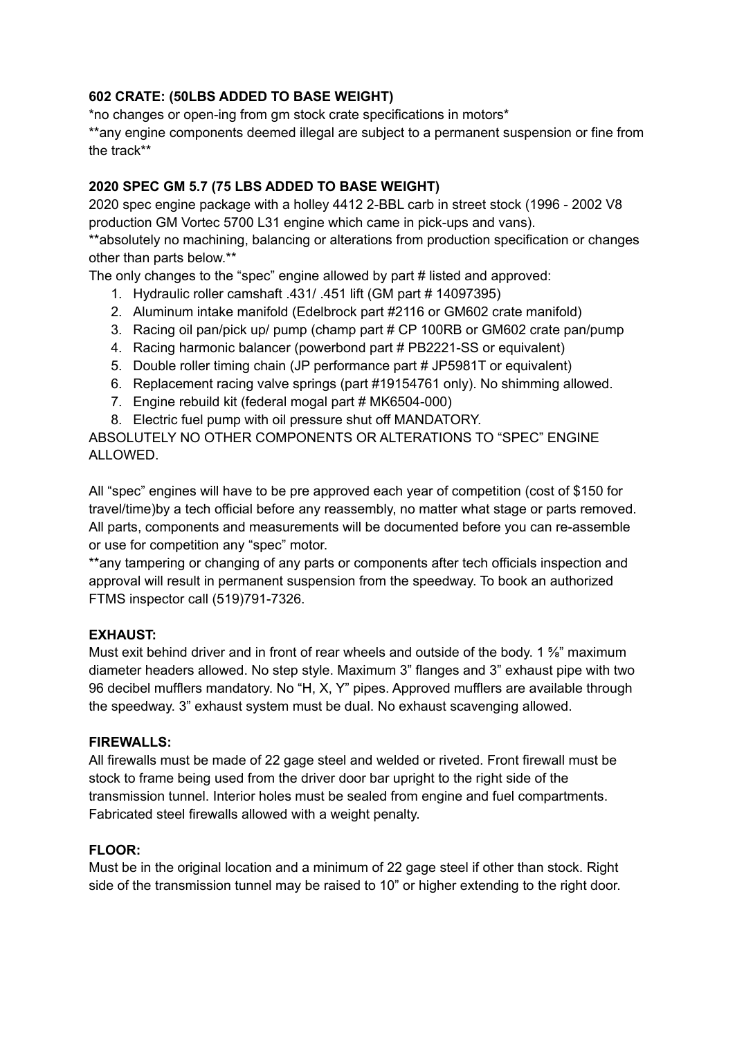# **602 CRATE: (50LBS ADDED TO BASE WEIGHT)**

\*no changes or open-ing from gm stock crate specifications in motors\* \*\*any engine components deemed illegal are subject to a permanent suspension or fine from the track\*\*

# **2020 SPEC GM 5.7 (75 LBS ADDED TO BASE WEIGHT)**

2020 spec engine package with a holley 4412 2-BBL carb in street stock (1996 - 2002 V8 production GM Vortec 5700 L31 engine which came in pick-ups and vans).

\*\*absolutely no machining, balancing or alterations from production specification or changes other than parts below.\*\*

The only changes to the "spec" engine allowed by part # listed and approved:

- 1. Hydraulic roller camshaft .431/ .451 lift (GM part # 14097395)
- 2. Aluminum intake manifold (Edelbrock part #2116 or GM602 crate manifold)
- 3. Racing oil pan/pick up/ pump (champ part # CP 100RB or GM602 crate pan/pump
- 4. Racing harmonic balancer (powerbond part # PB2221-SS or equivalent)
- 5. Double roller timing chain (JP performance part # JP5981T or equivalent)
- 6. Replacement racing valve springs (part #19154761 only). No shimming allowed.
- 7. Engine rebuild kit (federal mogal part # MK6504-000)
- 8. Electric fuel pump with oil pressure shut off MANDATORY.

ABSOLUTELY NO OTHER COMPONENTS OR ALTERATIONS TO "SPEC" ENGINE ALLOWED.

All "spec" engines will have to be pre approved each year of competition (cost of \$150 for travel/time)by a tech official before any reassembly, no matter what stage or parts removed. All parts, components and measurements will be documented before you can re-assemble or use for competition any "spec" motor.

\*\*any tampering or changing of any parts or components after tech officials inspection and approval will result in permanent suspension from the speedway. To book an authorized FTMS inspector call (519)791-7326.

# **EXHAUST:**

Must exit behind driver and in front of rear wheels and outside of the body. 1 % maximum diameter headers allowed. No step style. Maximum 3" flanges and 3" exhaust pipe with two 96 decibel mufflers mandatory. No "H, X, Y" pipes. Approved mufflers are available through the speedway. 3" exhaust system must be dual. No exhaust scavenging allowed.

# **FIREWALLS:**

All firewalls must be made of 22 gage steel and welded or riveted. Front firewall must be stock to frame being used from the driver door bar upright to the right side of the transmission tunnel. Interior holes must be sealed from engine and fuel compartments. Fabricated steel firewalls allowed with a weight penalty.

### **FLOOR:**

Must be in the original location and a minimum of 22 gage steel if other than stock. Right side of the transmission tunnel may be raised to 10" or higher extending to the right door.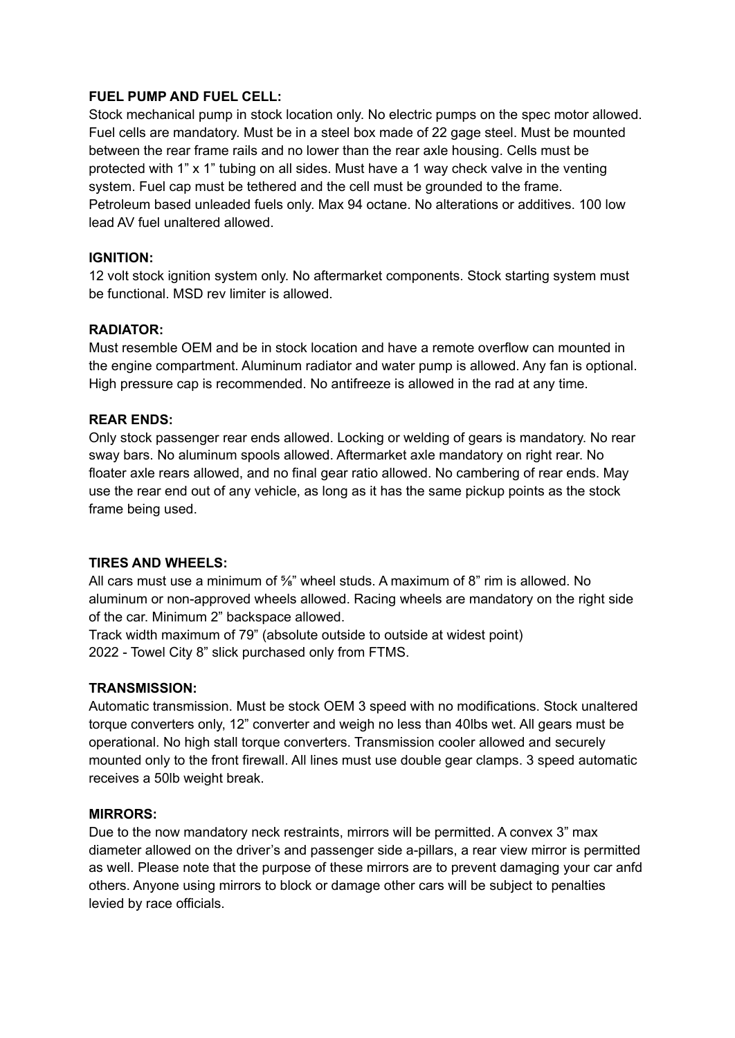### **FUEL PUMP AND FUEL CELL:**

Stock mechanical pump in stock location only. No electric pumps on the spec motor allowed. Fuel cells are mandatory. Must be in a steel box made of 22 gage steel. Must be mounted between the rear frame rails and no lower than the rear axle housing. Cells must be protected with 1" x 1" tubing on all sides. Must have a 1 way check valve in the venting system. Fuel cap must be tethered and the cell must be grounded to the frame. Petroleum based unleaded fuels only. Max 94 octane. No alterations or additives. 100 low lead AV fuel unaltered allowed.

### **IGNITION:**

12 volt stock ignition system only. No aftermarket components. Stock starting system must be functional. MSD rev limiter is allowed.

### **RADIATOR:**

Must resemble OEM and be in stock location and have a remote overflow can mounted in the engine compartment. Aluminum radiator and water pump is allowed. Any fan is optional. High pressure cap is recommended. No antifreeze is allowed in the rad at any time.

### **REAR ENDS:**

Only stock passenger rear ends allowed. Locking or welding of gears is mandatory. No rear sway bars. No aluminum spools allowed. Aftermarket axle mandatory on right rear. No floater axle rears allowed, and no final gear ratio allowed. No cambering of rear ends. May use the rear end out of any vehicle, as long as it has the same pickup points as the stock frame being used.

### **TIRES AND WHEELS:**

All cars must use a minimum of <sup>5</sup>/<sub>6</sub>" wheel studs. A maximum of 8" rim is allowed. No aluminum or non-approved wheels allowed. Racing wheels are mandatory on the right side of the car. Minimum 2" backspace allowed.

Track width maximum of 79" (absolute outside to outside at widest point) 2022 - Towel City 8" slick purchased only from FTMS.

### **TRANSMISSION:**

Automatic transmission. Must be stock OEM 3 speed with no modifications. Stock unaltered torque converters only, 12" converter and weigh no less than 40lbs wet. All gears must be operational. No high stall torque converters. Transmission cooler allowed and securely mounted only to the front firewall. All lines must use double gear clamps. 3 speed automatic receives a 50lb weight break.

### **MIRRORS:**

Due to the now mandatory neck restraints, mirrors will be permitted. A convex 3" max diameter allowed on the driver's and passenger side a-pillars, a rear view mirror is permitted as well. Please note that the purpose of these mirrors are to prevent damaging your car anfd others. Anyone using mirrors to block or damage other cars will be subject to penalties levied by race officials.